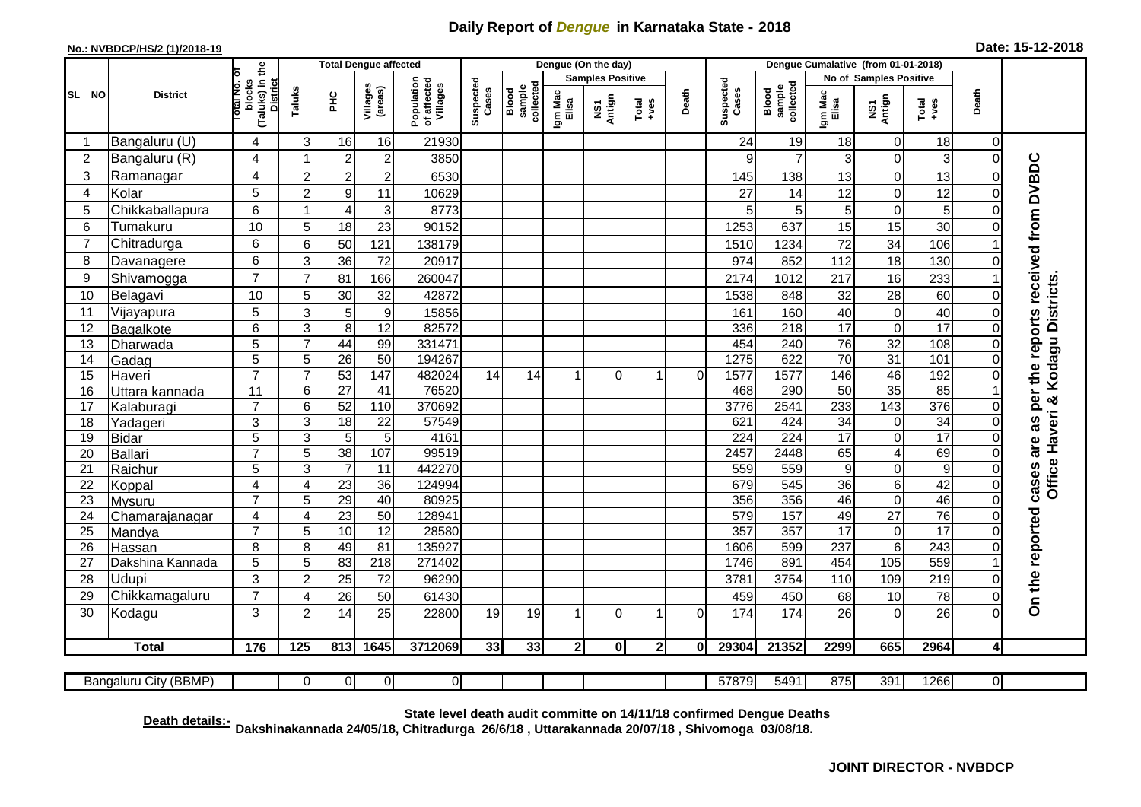## **Daily Report of** *Dengue* **in Karnataka State - 2018**

## **No.: NVBDCP/HS/2 (1)/2018-19 Date: 15-12-2018**

| (Taluks) in the<br>Total No. Of<br><b>Samples Positive</b><br>No of Samples Positive<br>Population<br>of affected<br>Villages<br>Suspected<br>Cases<br>Suspected<br>Cases<br>blocks<br><b>District</b><br>collected<br>sample<br>collected<br>Villages<br>(areas)<br><b>Blood</b><br>sample<br>Taluks<br>Blood<br>Death<br>Death<br>Igm Mac<br>Elisa<br>Igm Mac<br>Elisa<br>SL NO<br>ΞÉ<br><b>District</b><br>NS1<br>Antign<br>NS1<br>Antign<br>$Tota$<br>$+ves$<br>Total<br>+ves<br>Bangaluru (U)<br>21930<br>19<br>18<br>3<br>16<br>16<br>24<br>18<br>$\mathbf 0$<br>$\mathbf 0$<br>4<br>3<br>Bangaluru (R)<br>$\overline{2}$<br>$\overline{7}$<br>0<br>2<br>4<br>$\overline{c}$<br>3850<br>3<br>$\Omega$<br>9<br>cases are as per the reports received from DVBDC<br>13<br>3<br>$\overline{c}$<br>$\overline{0}$<br>Ramanagar<br>4<br>$\overline{c}$<br>$\overline{2}$<br>6530<br>138<br>13<br>$\Omega$<br>145<br>12<br>5<br>$\overline{2}$<br>12<br>0<br>Kolar<br>9<br>10629<br>27<br>14<br>$\mathbf 0$<br>4<br>11<br>6<br>5<br>5 <sup>1</sup><br>5<br>Chikkaballapura<br>3<br>8773<br>$\sqrt{5}$<br>0<br>$\Omega$<br>$\overline{4}$<br>5<br>30<br>10<br>23<br>637<br>15<br>15<br>6<br>Tumakuru<br>18<br>1253<br>5<br>90152<br>$\Omega$<br>Chitradurga<br>34<br>106<br>6<br>50<br>121<br>138179<br>1234<br>72<br>7<br>6<br>1510<br>18<br>6<br>72<br>852<br>130<br>8<br>3<br>36<br>20917<br>974<br>112<br>Davanagere<br>$\Omega$<br>$\overline{7}$<br>16<br>9<br>Shivamogga<br>233<br>$\overline{7}$<br>81<br>166<br>260047<br>2174<br>1012<br>217<br>Kodagu Districts<br>10<br>28<br>60<br>32<br>32<br>10<br>Belagavi<br>5<br>30<br>42872<br>1538<br>848<br>$\Omega$<br>5<br>0<br>40<br>11<br>$\boldsymbol{9}$<br>40<br>Vijayapura<br>3<br>5<br>15856<br>160<br>$\mathbf 0$<br>161<br>12<br>82572<br>218<br>17<br>$\overline{0}$<br>17<br>6<br>3<br>8<br>336<br>$\Omega$<br>12<br>Bagalkote<br>44<br>76<br>$\overline{32}$<br>108<br>5<br>$\overline{7}$<br>99<br>331471<br>454<br>240<br>13<br>$\Omega$<br>Dharwada<br>$\overline{31}$<br>$\overline{5}$<br>$\overline{26}$<br>622<br>70<br>101<br>$\overline{50}$<br>1275<br>5<br>194267<br>$\Omega$<br>14<br>Gadag<br>$\overline{7}$<br>$\overline{53}$<br>46<br>192<br>$\overline{7}$<br>147<br>482024<br>1577<br>146<br>15<br>14<br>14<br>$\Omega$<br>$\Omega$<br>1577<br>$\mathbf 0$<br>Haveri<br>1<br>35<br>$\overline{27}$<br>85<br>$\overline{11}$<br>76520<br>290<br>$\overline{50}$<br>6<br>41<br>468<br>16<br>Uttara kannada<br>ಳ<br>$\overline{7}$<br>52<br>370692<br>3776<br>2541<br>233<br>143<br>376<br>6<br>110<br>17<br>$\Omega$<br>Kalaburagi<br>Office Haveri<br>3<br>34<br>3<br>18<br>22<br>57549<br>621<br>424<br>34<br>0<br>18<br>$\Omega$<br>Yadageri<br>17<br>5<br>3<br>5<br>5<br>$\overline{224}$<br>$\overline{17}$<br>0<br>4161<br>224<br>19<br>$\Omega$<br><b>Bidar</b><br>69<br>$\overline{7}$<br>38<br>107<br>99519<br>2448<br>$\overline{4}$<br>5<br>2457<br>65<br>$\overline{0}$<br>20<br>Ballari<br>$\overline{9}$<br>5<br>559<br>$\overline{0}$<br>3<br>11<br>442270<br>559<br>$\boldsymbol{9}$<br>$\mathbf 0$<br>21<br>Raichur<br>42<br>36<br>124994<br>545<br>36<br>6<br>4<br>23<br>679<br>$\mathbf 0$<br>22<br>$\overline{4}$<br>Koppal<br>29<br>$\overline{0}$<br>46<br>$\overline{7}$<br>5<br>40<br>80925<br>356<br>356<br>46<br>$\mathbf 0$<br>23<br>Mysuru<br>On the reported<br>23<br>$\overline{27}$<br>76<br>$\overline{\mathbf{4}}$<br>$\overline{50}$<br>128941<br>579<br>157<br>49<br>24<br>$\overline{4}$<br>$\Omega$<br>Chamarajanagar<br>$\overline{7}$<br>10<br>357<br>357<br>17<br>$\overline{0}$<br>17<br>$\overline{25}$<br>$\overline{12}$<br>28580<br>5<br>$\Omega$<br>Mandya<br>49<br>$6\phantom{1}6$<br>243<br>8<br>8<br>81<br>599<br>237<br>26<br>135927<br>1606<br>$\Omega$<br>Hassan<br>105<br>559<br>5<br>5<br>83<br>$\overline{218}$<br>271402<br>891<br>454<br>1746<br>27<br>Dakshina Kannada<br>3<br>25<br>219<br>72<br>3754<br>110<br>109<br>28<br>Udupi<br>$\overline{c}$<br>3781<br>96290<br>$\Omega$<br>$\overline{7}$<br>78<br>29<br>26<br>50<br>10<br>Chikkamagaluru<br>459<br>450<br>61430<br>68<br>$\Omega$<br>⊿<br>3<br>14<br>25<br>26<br>$\overline{2}$<br>19<br>174<br>174<br>26<br>0<br>30<br>22800<br>19<br>$\Omega$<br>$\Omega$<br>Kodagu<br>$\Omega$<br>1<br>176<br>33<br>$\mathbf{0}$<br>29304<br>21352<br>2299<br>665<br><b>Total</b><br>125<br>813<br>1645<br>3712069<br>33<br>$\mathbf{2}$<br>$\mathbf{2}$<br>2964<br>4<br>01<br>$\overline{0}$<br>$\overline{\Omega}$<br>57879<br>5491<br>875<br>391<br>1266<br>$\overline{0}$<br>Bangaluru City (BBMP)<br>$\overline{0}$<br>$\overline{0}$ |  | <b>Total Dengue affected</b> |  |  |  |  |  | Dengue (On the day) |  |  |  |  |  |  |  |
|---------------------------------------------------------------------------------------------------------------------------------------------------------------------------------------------------------------------------------------------------------------------------------------------------------------------------------------------------------------------------------------------------------------------------------------------------------------------------------------------------------------------------------------------------------------------------------------------------------------------------------------------------------------------------------------------------------------------------------------------------------------------------------------------------------------------------------------------------------------------------------------------------------------------------------------------------------------------------------------------------------------------------------------------------------------------------------------------------------------------------------------------------------------------------------------------------------------------------------------------------------------------------------------------------------------------------------------------------------------------------------------------------------------------------------------------------------------------------------------------------------------------------------------------------------------------------------------------------------------------------------------------------------------------------------------------------------------------------------------------------------------------------------------------------------------------------------------------------------------------------------------------------------------------------------------------------------------------------------------------------------------------------------------------------------------------------------------------------------------------------------------------------------------------------------------------------------------------------------------------------------------------------------------------------------------------------------------------------------------------------------------------------------------------------------------------------------------------------------------------------------------------------------------------------------------------------------------------------------------------------------------------------------------------------------------------------------------------------------------------------------------------------------------------------------------------------------------------------------------------------------------------------------------------------------------------------------------------------------------------------------------------------------------------------------------------------------------------------------------------------------------------------------------------------------------------------------------------------------------------------------------------------------------------------------------------------------------------------------------------------------------------------------------------------------------------------------------------------------------------------------------------------------------------------------------------------------------------------------------------------------------------------------------------------------------------------------------------------------------------------------------------------------------------------------------------------------------------------------------------------------------------------------------------------------------------------------------------------------------------------------------------------------------------------------------------------------------------------------------------------------------------------------------------------------------------------------------------------------------------------------------------------------------------------------------------------------------------------------------------------------------------------------------------------------------------------------------------------------------------------------------------------------------------------------------------------------------------------------------------------------------|--|------------------------------|--|--|--|--|--|---------------------|--|--|--|--|--|--|--|
|                                                                                                                                                                                                                                                                                                                                                                                                                                                                                                                                                                                                                                                                                                                                                                                                                                                                                                                                                                                                                                                                                                                                                                                                                                                                                                                                                                                                                                                                                                                                                                                                                                                                                                                                                                                                                                                                                                                                                                                                                                                                                                                                                                                                                                                                                                                                                                                                                                                                                                                                                                                                                                                                                                                                                                                                                                                                                                                                                                                                                                                                                                                                                                                                                                                                                                                                                                                                                                                                                                                                                                                                                                                                                                                                                                                                                                                                                                                                                                                                                                                                                                                                                                                                                                                                                                                                                                                                                                                                                                                                                                                                                                       |  |                              |  |  |  |  |  |                     |  |  |  |  |  |  |  |
|                                                                                                                                                                                                                                                                                                                                                                                                                                                                                                                                                                                                                                                                                                                                                                                                                                                                                                                                                                                                                                                                                                                                                                                                                                                                                                                                                                                                                                                                                                                                                                                                                                                                                                                                                                                                                                                                                                                                                                                                                                                                                                                                                                                                                                                                                                                                                                                                                                                                                                                                                                                                                                                                                                                                                                                                                                                                                                                                                                                                                                                                                                                                                                                                                                                                                                                                                                                                                                                                                                                                                                                                                                                                                                                                                                                                                                                                                                                                                                                                                                                                                                                                                                                                                                                                                                                                                                                                                                                                                                                                                                                                                                       |  |                              |  |  |  |  |  |                     |  |  |  |  |  |  |  |
|                                                                                                                                                                                                                                                                                                                                                                                                                                                                                                                                                                                                                                                                                                                                                                                                                                                                                                                                                                                                                                                                                                                                                                                                                                                                                                                                                                                                                                                                                                                                                                                                                                                                                                                                                                                                                                                                                                                                                                                                                                                                                                                                                                                                                                                                                                                                                                                                                                                                                                                                                                                                                                                                                                                                                                                                                                                                                                                                                                                                                                                                                                                                                                                                                                                                                                                                                                                                                                                                                                                                                                                                                                                                                                                                                                                                                                                                                                                                                                                                                                                                                                                                                                                                                                                                                                                                                                                                                                                                                                                                                                                                                                       |  |                              |  |  |  |  |  |                     |  |  |  |  |  |  |  |
|                                                                                                                                                                                                                                                                                                                                                                                                                                                                                                                                                                                                                                                                                                                                                                                                                                                                                                                                                                                                                                                                                                                                                                                                                                                                                                                                                                                                                                                                                                                                                                                                                                                                                                                                                                                                                                                                                                                                                                                                                                                                                                                                                                                                                                                                                                                                                                                                                                                                                                                                                                                                                                                                                                                                                                                                                                                                                                                                                                                                                                                                                                                                                                                                                                                                                                                                                                                                                                                                                                                                                                                                                                                                                                                                                                                                                                                                                                                                                                                                                                                                                                                                                                                                                                                                                                                                                                                                                                                                                                                                                                                                                                       |  |                              |  |  |  |  |  |                     |  |  |  |  |  |  |  |
|                                                                                                                                                                                                                                                                                                                                                                                                                                                                                                                                                                                                                                                                                                                                                                                                                                                                                                                                                                                                                                                                                                                                                                                                                                                                                                                                                                                                                                                                                                                                                                                                                                                                                                                                                                                                                                                                                                                                                                                                                                                                                                                                                                                                                                                                                                                                                                                                                                                                                                                                                                                                                                                                                                                                                                                                                                                                                                                                                                                                                                                                                                                                                                                                                                                                                                                                                                                                                                                                                                                                                                                                                                                                                                                                                                                                                                                                                                                                                                                                                                                                                                                                                                                                                                                                                                                                                                                                                                                                                                                                                                                                                                       |  |                              |  |  |  |  |  |                     |  |  |  |  |  |  |  |
|                                                                                                                                                                                                                                                                                                                                                                                                                                                                                                                                                                                                                                                                                                                                                                                                                                                                                                                                                                                                                                                                                                                                                                                                                                                                                                                                                                                                                                                                                                                                                                                                                                                                                                                                                                                                                                                                                                                                                                                                                                                                                                                                                                                                                                                                                                                                                                                                                                                                                                                                                                                                                                                                                                                                                                                                                                                                                                                                                                                                                                                                                                                                                                                                                                                                                                                                                                                                                                                                                                                                                                                                                                                                                                                                                                                                                                                                                                                                                                                                                                                                                                                                                                                                                                                                                                                                                                                                                                                                                                                                                                                                                                       |  |                              |  |  |  |  |  |                     |  |  |  |  |  |  |  |
|                                                                                                                                                                                                                                                                                                                                                                                                                                                                                                                                                                                                                                                                                                                                                                                                                                                                                                                                                                                                                                                                                                                                                                                                                                                                                                                                                                                                                                                                                                                                                                                                                                                                                                                                                                                                                                                                                                                                                                                                                                                                                                                                                                                                                                                                                                                                                                                                                                                                                                                                                                                                                                                                                                                                                                                                                                                                                                                                                                                                                                                                                                                                                                                                                                                                                                                                                                                                                                                                                                                                                                                                                                                                                                                                                                                                                                                                                                                                                                                                                                                                                                                                                                                                                                                                                                                                                                                                                                                                                                                                                                                                                                       |  |                              |  |  |  |  |  |                     |  |  |  |  |  |  |  |
|                                                                                                                                                                                                                                                                                                                                                                                                                                                                                                                                                                                                                                                                                                                                                                                                                                                                                                                                                                                                                                                                                                                                                                                                                                                                                                                                                                                                                                                                                                                                                                                                                                                                                                                                                                                                                                                                                                                                                                                                                                                                                                                                                                                                                                                                                                                                                                                                                                                                                                                                                                                                                                                                                                                                                                                                                                                                                                                                                                                                                                                                                                                                                                                                                                                                                                                                                                                                                                                                                                                                                                                                                                                                                                                                                                                                                                                                                                                                                                                                                                                                                                                                                                                                                                                                                                                                                                                                                                                                                                                                                                                                                                       |  |                              |  |  |  |  |  |                     |  |  |  |  |  |  |  |
|                                                                                                                                                                                                                                                                                                                                                                                                                                                                                                                                                                                                                                                                                                                                                                                                                                                                                                                                                                                                                                                                                                                                                                                                                                                                                                                                                                                                                                                                                                                                                                                                                                                                                                                                                                                                                                                                                                                                                                                                                                                                                                                                                                                                                                                                                                                                                                                                                                                                                                                                                                                                                                                                                                                                                                                                                                                                                                                                                                                                                                                                                                                                                                                                                                                                                                                                                                                                                                                                                                                                                                                                                                                                                                                                                                                                                                                                                                                                                                                                                                                                                                                                                                                                                                                                                                                                                                                                                                                                                                                                                                                                                                       |  |                              |  |  |  |  |  |                     |  |  |  |  |  |  |  |
|                                                                                                                                                                                                                                                                                                                                                                                                                                                                                                                                                                                                                                                                                                                                                                                                                                                                                                                                                                                                                                                                                                                                                                                                                                                                                                                                                                                                                                                                                                                                                                                                                                                                                                                                                                                                                                                                                                                                                                                                                                                                                                                                                                                                                                                                                                                                                                                                                                                                                                                                                                                                                                                                                                                                                                                                                                                                                                                                                                                                                                                                                                                                                                                                                                                                                                                                                                                                                                                                                                                                                                                                                                                                                                                                                                                                                                                                                                                                                                                                                                                                                                                                                                                                                                                                                                                                                                                                                                                                                                                                                                                                                                       |  |                              |  |  |  |  |  |                     |  |  |  |  |  |  |  |
|                                                                                                                                                                                                                                                                                                                                                                                                                                                                                                                                                                                                                                                                                                                                                                                                                                                                                                                                                                                                                                                                                                                                                                                                                                                                                                                                                                                                                                                                                                                                                                                                                                                                                                                                                                                                                                                                                                                                                                                                                                                                                                                                                                                                                                                                                                                                                                                                                                                                                                                                                                                                                                                                                                                                                                                                                                                                                                                                                                                                                                                                                                                                                                                                                                                                                                                                                                                                                                                                                                                                                                                                                                                                                                                                                                                                                                                                                                                                                                                                                                                                                                                                                                                                                                                                                                                                                                                                                                                                                                                                                                                                                                       |  |                              |  |  |  |  |  |                     |  |  |  |  |  |  |  |
|                                                                                                                                                                                                                                                                                                                                                                                                                                                                                                                                                                                                                                                                                                                                                                                                                                                                                                                                                                                                                                                                                                                                                                                                                                                                                                                                                                                                                                                                                                                                                                                                                                                                                                                                                                                                                                                                                                                                                                                                                                                                                                                                                                                                                                                                                                                                                                                                                                                                                                                                                                                                                                                                                                                                                                                                                                                                                                                                                                                                                                                                                                                                                                                                                                                                                                                                                                                                                                                                                                                                                                                                                                                                                                                                                                                                                                                                                                                                                                                                                                                                                                                                                                                                                                                                                                                                                                                                                                                                                                                                                                                                                                       |  |                              |  |  |  |  |  |                     |  |  |  |  |  |  |  |
|                                                                                                                                                                                                                                                                                                                                                                                                                                                                                                                                                                                                                                                                                                                                                                                                                                                                                                                                                                                                                                                                                                                                                                                                                                                                                                                                                                                                                                                                                                                                                                                                                                                                                                                                                                                                                                                                                                                                                                                                                                                                                                                                                                                                                                                                                                                                                                                                                                                                                                                                                                                                                                                                                                                                                                                                                                                                                                                                                                                                                                                                                                                                                                                                                                                                                                                                                                                                                                                                                                                                                                                                                                                                                                                                                                                                                                                                                                                                                                                                                                                                                                                                                                                                                                                                                                                                                                                                                                                                                                                                                                                                                                       |  |                              |  |  |  |  |  |                     |  |  |  |  |  |  |  |
|                                                                                                                                                                                                                                                                                                                                                                                                                                                                                                                                                                                                                                                                                                                                                                                                                                                                                                                                                                                                                                                                                                                                                                                                                                                                                                                                                                                                                                                                                                                                                                                                                                                                                                                                                                                                                                                                                                                                                                                                                                                                                                                                                                                                                                                                                                                                                                                                                                                                                                                                                                                                                                                                                                                                                                                                                                                                                                                                                                                                                                                                                                                                                                                                                                                                                                                                                                                                                                                                                                                                                                                                                                                                                                                                                                                                                                                                                                                                                                                                                                                                                                                                                                                                                                                                                                                                                                                                                                                                                                                                                                                                                                       |  |                              |  |  |  |  |  |                     |  |  |  |  |  |  |  |
|                                                                                                                                                                                                                                                                                                                                                                                                                                                                                                                                                                                                                                                                                                                                                                                                                                                                                                                                                                                                                                                                                                                                                                                                                                                                                                                                                                                                                                                                                                                                                                                                                                                                                                                                                                                                                                                                                                                                                                                                                                                                                                                                                                                                                                                                                                                                                                                                                                                                                                                                                                                                                                                                                                                                                                                                                                                                                                                                                                                                                                                                                                                                                                                                                                                                                                                                                                                                                                                                                                                                                                                                                                                                                                                                                                                                                                                                                                                                                                                                                                                                                                                                                                                                                                                                                                                                                                                                                                                                                                                                                                                                                                       |  |                              |  |  |  |  |  |                     |  |  |  |  |  |  |  |
|                                                                                                                                                                                                                                                                                                                                                                                                                                                                                                                                                                                                                                                                                                                                                                                                                                                                                                                                                                                                                                                                                                                                                                                                                                                                                                                                                                                                                                                                                                                                                                                                                                                                                                                                                                                                                                                                                                                                                                                                                                                                                                                                                                                                                                                                                                                                                                                                                                                                                                                                                                                                                                                                                                                                                                                                                                                                                                                                                                                                                                                                                                                                                                                                                                                                                                                                                                                                                                                                                                                                                                                                                                                                                                                                                                                                                                                                                                                                                                                                                                                                                                                                                                                                                                                                                                                                                                                                                                                                                                                                                                                                                                       |  |                              |  |  |  |  |  |                     |  |  |  |  |  |  |  |
|                                                                                                                                                                                                                                                                                                                                                                                                                                                                                                                                                                                                                                                                                                                                                                                                                                                                                                                                                                                                                                                                                                                                                                                                                                                                                                                                                                                                                                                                                                                                                                                                                                                                                                                                                                                                                                                                                                                                                                                                                                                                                                                                                                                                                                                                                                                                                                                                                                                                                                                                                                                                                                                                                                                                                                                                                                                                                                                                                                                                                                                                                                                                                                                                                                                                                                                                                                                                                                                                                                                                                                                                                                                                                                                                                                                                                                                                                                                                                                                                                                                                                                                                                                                                                                                                                                                                                                                                                                                                                                                                                                                                                                       |  |                              |  |  |  |  |  |                     |  |  |  |  |  |  |  |
|                                                                                                                                                                                                                                                                                                                                                                                                                                                                                                                                                                                                                                                                                                                                                                                                                                                                                                                                                                                                                                                                                                                                                                                                                                                                                                                                                                                                                                                                                                                                                                                                                                                                                                                                                                                                                                                                                                                                                                                                                                                                                                                                                                                                                                                                                                                                                                                                                                                                                                                                                                                                                                                                                                                                                                                                                                                                                                                                                                                                                                                                                                                                                                                                                                                                                                                                                                                                                                                                                                                                                                                                                                                                                                                                                                                                                                                                                                                                                                                                                                                                                                                                                                                                                                                                                                                                                                                                                                                                                                                                                                                                                                       |  |                              |  |  |  |  |  |                     |  |  |  |  |  |  |  |
|                                                                                                                                                                                                                                                                                                                                                                                                                                                                                                                                                                                                                                                                                                                                                                                                                                                                                                                                                                                                                                                                                                                                                                                                                                                                                                                                                                                                                                                                                                                                                                                                                                                                                                                                                                                                                                                                                                                                                                                                                                                                                                                                                                                                                                                                                                                                                                                                                                                                                                                                                                                                                                                                                                                                                                                                                                                                                                                                                                                                                                                                                                                                                                                                                                                                                                                                                                                                                                                                                                                                                                                                                                                                                                                                                                                                                                                                                                                                                                                                                                                                                                                                                                                                                                                                                                                                                                                                                                                                                                                                                                                                                                       |  |                              |  |  |  |  |  |                     |  |  |  |  |  |  |  |
|                                                                                                                                                                                                                                                                                                                                                                                                                                                                                                                                                                                                                                                                                                                                                                                                                                                                                                                                                                                                                                                                                                                                                                                                                                                                                                                                                                                                                                                                                                                                                                                                                                                                                                                                                                                                                                                                                                                                                                                                                                                                                                                                                                                                                                                                                                                                                                                                                                                                                                                                                                                                                                                                                                                                                                                                                                                                                                                                                                                                                                                                                                                                                                                                                                                                                                                                                                                                                                                                                                                                                                                                                                                                                                                                                                                                                                                                                                                                                                                                                                                                                                                                                                                                                                                                                                                                                                                                                                                                                                                                                                                                                                       |  |                              |  |  |  |  |  |                     |  |  |  |  |  |  |  |
|                                                                                                                                                                                                                                                                                                                                                                                                                                                                                                                                                                                                                                                                                                                                                                                                                                                                                                                                                                                                                                                                                                                                                                                                                                                                                                                                                                                                                                                                                                                                                                                                                                                                                                                                                                                                                                                                                                                                                                                                                                                                                                                                                                                                                                                                                                                                                                                                                                                                                                                                                                                                                                                                                                                                                                                                                                                                                                                                                                                                                                                                                                                                                                                                                                                                                                                                                                                                                                                                                                                                                                                                                                                                                                                                                                                                                                                                                                                                                                                                                                                                                                                                                                                                                                                                                                                                                                                                                                                                                                                                                                                                                                       |  |                              |  |  |  |  |  |                     |  |  |  |  |  |  |  |
|                                                                                                                                                                                                                                                                                                                                                                                                                                                                                                                                                                                                                                                                                                                                                                                                                                                                                                                                                                                                                                                                                                                                                                                                                                                                                                                                                                                                                                                                                                                                                                                                                                                                                                                                                                                                                                                                                                                                                                                                                                                                                                                                                                                                                                                                                                                                                                                                                                                                                                                                                                                                                                                                                                                                                                                                                                                                                                                                                                                                                                                                                                                                                                                                                                                                                                                                                                                                                                                                                                                                                                                                                                                                                                                                                                                                                                                                                                                                                                                                                                                                                                                                                                                                                                                                                                                                                                                                                                                                                                                                                                                                                                       |  |                              |  |  |  |  |  |                     |  |  |  |  |  |  |  |
|                                                                                                                                                                                                                                                                                                                                                                                                                                                                                                                                                                                                                                                                                                                                                                                                                                                                                                                                                                                                                                                                                                                                                                                                                                                                                                                                                                                                                                                                                                                                                                                                                                                                                                                                                                                                                                                                                                                                                                                                                                                                                                                                                                                                                                                                                                                                                                                                                                                                                                                                                                                                                                                                                                                                                                                                                                                                                                                                                                                                                                                                                                                                                                                                                                                                                                                                                                                                                                                                                                                                                                                                                                                                                                                                                                                                                                                                                                                                                                                                                                                                                                                                                                                                                                                                                                                                                                                                                                                                                                                                                                                                                                       |  |                              |  |  |  |  |  |                     |  |  |  |  |  |  |  |
|                                                                                                                                                                                                                                                                                                                                                                                                                                                                                                                                                                                                                                                                                                                                                                                                                                                                                                                                                                                                                                                                                                                                                                                                                                                                                                                                                                                                                                                                                                                                                                                                                                                                                                                                                                                                                                                                                                                                                                                                                                                                                                                                                                                                                                                                                                                                                                                                                                                                                                                                                                                                                                                                                                                                                                                                                                                                                                                                                                                                                                                                                                                                                                                                                                                                                                                                                                                                                                                                                                                                                                                                                                                                                                                                                                                                                                                                                                                                                                                                                                                                                                                                                                                                                                                                                                                                                                                                                                                                                                                                                                                                                                       |  |                              |  |  |  |  |  |                     |  |  |  |  |  |  |  |
|                                                                                                                                                                                                                                                                                                                                                                                                                                                                                                                                                                                                                                                                                                                                                                                                                                                                                                                                                                                                                                                                                                                                                                                                                                                                                                                                                                                                                                                                                                                                                                                                                                                                                                                                                                                                                                                                                                                                                                                                                                                                                                                                                                                                                                                                                                                                                                                                                                                                                                                                                                                                                                                                                                                                                                                                                                                                                                                                                                                                                                                                                                                                                                                                                                                                                                                                                                                                                                                                                                                                                                                                                                                                                                                                                                                                                                                                                                                                                                                                                                                                                                                                                                                                                                                                                                                                                                                                                                                                                                                                                                                                                                       |  |                              |  |  |  |  |  |                     |  |  |  |  |  |  |  |
|                                                                                                                                                                                                                                                                                                                                                                                                                                                                                                                                                                                                                                                                                                                                                                                                                                                                                                                                                                                                                                                                                                                                                                                                                                                                                                                                                                                                                                                                                                                                                                                                                                                                                                                                                                                                                                                                                                                                                                                                                                                                                                                                                                                                                                                                                                                                                                                                                                                                                                                                                                                                                                                                                                                                                                                                                                                                                                                                                                                                                                                                                                                                                                                                                                                                                                                                                                                                                                                                                                                                                                                                                                                                                                                                                                                                                                                                                                                                                                                                                                                                                                                                                                                                                                                                                                                                                                                                                                                                                                                                                                                                                                       |  |                              |  |  |  |  |  |                     |  |  |  |  |  |  |  |
|                                                                                                                                                                                                                                                                                                                                                                                                                                                                                                                                                                                                                                                                                                                                                                                                                                                                                                                                                                                                                                                                                                                                                                                                                                                                                                                                                                                                                                                                                                                                                                                                                                                                                                                                                                                                                                                                                                                                                                                                                                                                                                                                                                                                                                                                                                                                                                                                                                                                                                                                                                                                                                                                                                                                                                                                                                                                                                                                                                                                                                                                                                                                                                                                                                                                                                                                                                                                                                                                                                                                                                                                                                                                                                                                                                                                                                                                                                                                                                                                                                                                                                                                                                                                                                                                                                                                                                                                                                                                                                                                                                                                                                       |  |                              |  |  |  |  |  |                     |  |  |  |  |  |  |  |
|                                                                                                                                                                                                                                                                                                                                                                                                                                                                                                                                                                                                                                                                                                                                                                                                                                                                                                                                                                                                                                                                                                                                                                                                                                                                                                                                                                                                                                                                                                                                                                                                                                                                                                                                                                                                                                                                                                                                                                                                                                                                                                                                                                                                                                                                                                                                                                                                                                                                                                                                                                                                                                                                                                                                                                                                                                                                                                                                                                                                                                                                                                                                                                                                                                                                                                                                                                                                                                                                                                                                                                                                                                                                                                                                                                                                                                                                                                                                                                                                                                                                                                                                                                                                                                                                                                                                                                                                                                                                                                                                                                                                                                       |  |                              |  |  |  |  |  |                     |  |  |  |  |  |  |  |
|                                                                                                                                                                                                                                                                                                                                                                                                                                                                                                                                                                                                                                                                                                                                                                                                                                                                                                                                                                                                                                                                                                                                                                                                                                                                                                                                                                                                                                                                                                                                                                                                                                                                                                                                                                                                                                                                                                                                                                                                                                                                                                                                                                                                                                                                                                                                                                                                                                                                                                                                                                                                                                                                                                                                                                                                                                                                                                                                                                                                                                                                                                                                                                                                                                                                                                                                                                                                                                                                                                                                                                                                                                                                                                                                                                                                                                                                                                                                                                                                                                                                                                                                                                                                                                                                                                                                                                                                                                                                                                                                                                                                                                       |  |                              |  |  |  |  |  |                     |  |  |  |  |  |  |  |
|                                                                                                                                                                                                                                                                                                                                                                                                                                                                                                                                                                                                                                                                                                                                                                                                                                                                                                                                                                                                                                                                                                                                                                                                                                                                                                                                                                                                                                                                                                                                                                                                                                                                                                                                                                                                                                                                                                                                                                                                                                                                                                                                                                                                                                                                                                                                                                                                                                                                                                                                                                                                                                                                                                                                                                                                                                                                                                                                                                                                                                                                                                                                                                                                                                                                                                                                                                                                                                                                                                                                                                                                                                                                                                                                                                                                                                                                                                                                                                                                                                                                                                                                                                                                                                                                                                                                                                                                                                                                                                                                                                                                                                       |  |                              |  |  |  |  |  |                     |  |  |  |  |  |  |  |
|                                                                                                                                                                                                                                                                                                                                                                                                                                                                                                                                                                                                                                                                                                                                                                                                                                                                                                                                                                                                                                                                                                                                                                                                                                                                                                                                                                                                                                                                                                                                                                                                                                                                                                                                                                                                                                                                                                                                                                                                                                                                                                                                                                                                                                                                                                                                                                                                                                                                                                                                                                                                                                                                                                                                                                                                                                                                                                                                                                                                                                                                                                                                                                                                                                                                                                                                                                                                                                                                                                                                                                                                                                                                                                                                                                                                                                                                                                                                                                                                                                                                                                                                                                                                                                                                                                                                                                                                                                                                                                                                                                                                                                       |  |                              |  |  |  |  |  |                     |  |  |  |  |  |  |  |
|                                                                                                                                                                                                                                                                                                                                                                                                                                                                                                                                                                                                                                                                                                                                                                                                                                                                                                                                                                                                                                                                                                                                                                                                                                                                                                                                                                                                                                                                                                                                                                                                                                                                                                                                                                                                                                                                                                                                                                                                                                                                                                                                                                                                                                                                                                                                                                                                                                                                                                                                                                                                                                                                                                                                                                                                                                                                                                                                                                                                                                                                                                                                                                                                                                                                                                                                                                                                                                                                                                                                                                                                                                                                                                                                                                                                                                                                                                                                                                                                                                                                                                                                                                                                                                                                                                                                                                                                                                                                                                                                                                                                                                       |  |                              |  |  |  |  |  |                     |  |  |  |  |  |  |  |
|                                                                                                                                                                                                                                                                                                                                                                                                                                                                                                                                                                                                                                                                                                                                                                                                                                                                                                                                                                                                                                                                                                                                                                                                                                                                                                                                                                                                                                                                                                                                                                                                                                                                                                                                                                                                                                                                                                                                                                                                                                                                                                                                                                                                                                                                                                                                                                                                                                                                                                                                                                                                                                                                                                                                                                                                                                                                                                                                                                                                                                                                                                                                                                                                                                                                                                                                                                                                                                                                                                                                                                                                                                                                                                                                                                                                                                                                                                                                                                                                                                                                                                                                                                                                                                                                                                                                                                                                                                                                                                                                                                                                                                       |  |                              |  |  |  |  |  |                     |  |  |  |  |  |  |  |
|                                                                                                                                                                                                                                                                                                                                                                                                                                                                                                                                                                                                                                                                                                                                                                                                                                                                                                                                                                                                                                                                                                                                                                                                                                                                                                                                                                                                                                                                                                                                                                                                                                                                                                                                                                                                                                                                                                                                                                                                                                                                                                                                                                                                                                                                                                                                                                                                                                                                                                                                                                                                                                                                                                                                                                                                                                                                                                                                                                                                                                                                                                                                                                                                                                                                                                                                                                                                                                                                                                                                                                                                                                                                                                                                                                                                                                                                                                                                                                                                                                                                                                                                                                                                                                                                                                                                                                                                                                                                                                                                                                                                                                       |  |                              |  |  |  |  |  |                     |  |  |  |  |  |  |  |

**Death details:- State level death audit committe on 14/11/18 confirmed Dengue Deaths Dakshinakannada 24/05/18, Chitradurga 26/6/18 , Uttarakannada 20/07/18 , Shivomoga 03/08/18.**